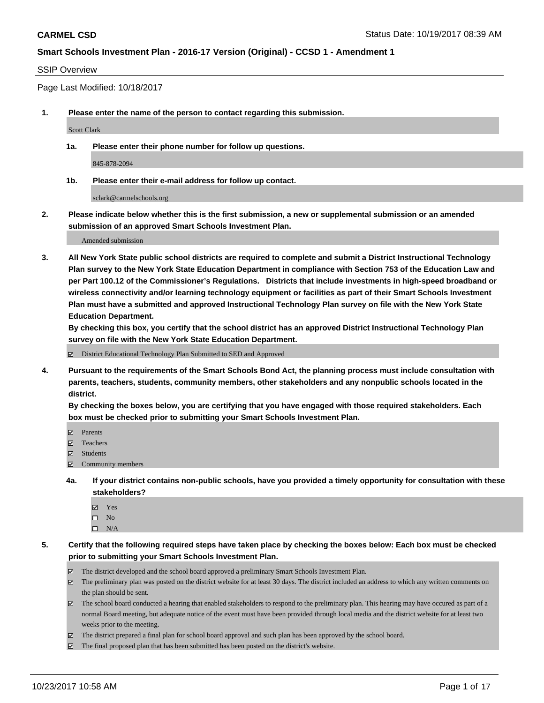#### SSIP Overview

Page Last Modified: 10/18/2017

**1. Please enter the name of the person to contact regarding this submission.**

Scott Clark

**1a. Please enter their phone number for follow up questions.**

845-878-2094

**1b. Please enter their e-mail address for follow up contact.**

sclark@carmelschools.org

**2. Please indicate below whether this is the first submission, a new or supplemental submission or an amended submission of an approved Smart Schools Investment Plan.**

Amended submission

**3. All New York State public school districts are required to complete and submit a District Instructional Technology Plan survey to the New York State Education Department in compliance with Section 753 of the Education Law and per Part 100.12 of the Commissioner's Regulations. Districts that include investments in high-speed broadband or wireless connectivity and/or learning technology equipment or facilities as part of their Smart Schools Investment Plan must have a submitted and approved Instructional Technology Plan survey on file with the New York State Education Department.** 

**By checking this box, you certify that the school district has an approved District Instructional Technology Plan survey on file with the New York State Education Department.**

District Educational Technology Plan Submitted to SED and Approved

**4. Pursuant to the requirements of the Smart Schools Bond Act, the planning process must include consultation with parents, teachers, students, community members, other stakeholders and any nonpublic schools located in the district.** 

**By checking the boxes below, you are certifying that you have engaged with those required stakeholders. Each box must be checked prior to submitting your Smart Schools Investment Plan.**

- **Parents**
- Teachers
- **☑** Students
- $\Xi$  Community members
- **4a. If your district contains non-public schools, have you provided a timely opportunity for consultation with these stakeholders?**
	- **Ø** Yes
	- $\square$  No
	- $\square$  N/A

**5. Certify that the following required steps have taken place by checking the boxes below: Each box must be checked prior to submitting your Smart Schools Investment Plan.**

- The district developed and the school board approved a preliminary Smart Schools Investment Plan.
- The preliminary plan was posted on the district website for at least 30 days. The district included an address to which any written comments on the plan should be sent.
- The school board conducted a hearing that enabled stakeholders to respond to the preliminary plan. This hearing may have occured as part of a normal Board meeting, but adequate notice of the event must have been provided through local media and the district website for at least two weeks prior to the meeting.
- The district prepared a final plan for school board approval and such plan has been approved by the school board.
- $\boxtimes$  The final proposed plan that has been submitted has been posted on the district's website.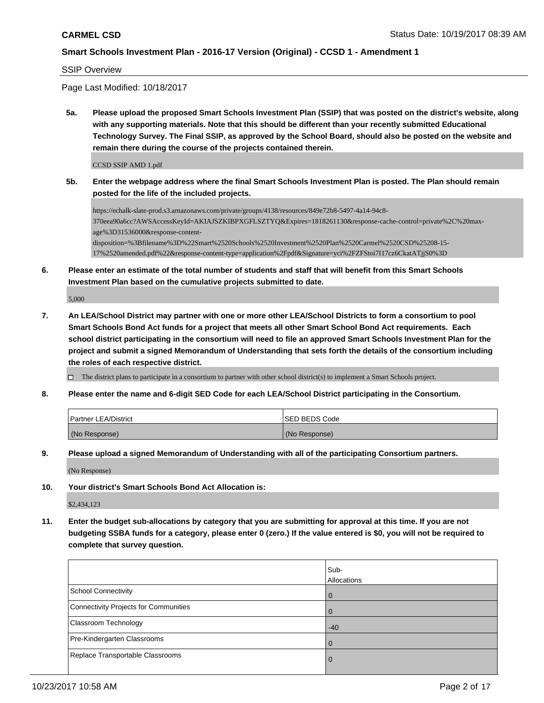SSIP Overview

Page Last Modified: 10/18/2017

**5a. Please upload the proposed Smart Schools Investment Plan (SSIP) that was posted on the district's website, along with any supporting materials. Note that this should be different than your recently submitted Educational Technology Survey. The Final SSIP, as approved by the School Board, should also be posted on the website and remain there during the course of the projects contained therein.**

CCSD SSIP AMD 1.pdf

**5b. Enter the webpage address where the final Smart Schools Investment Plan is posted. The Plan should remain posted for the life of the included projects.**

https://echalk-slate-prod.s3.amazonaws.com/private/groups/4138/resources/849e72b8-5497-4a14-94c8- 370eea90a6cc?AWSAccessKeyId=AKIAJSZKIBPXGFLSZTYQ&Expires=1818261130&response-cache-control=private%2C%20maxage%3D31536000&response-contentdisposition=%3Bfilename%3D%22Smart%2520Schools%2520Investment%2520Plan%2520Carmel%2520CSD%25208-15- 17%2520amended.pdf%22&response-content-type=application%2Fpdf&Signature=yci%2FZFStoi7I17cz6CkatATjjS0%3D

**6. Please enter an estimate of the total number of students and staff that will benefit from this Smart Schools Investment Plan based on the cumulative projects submitted to date.**

5,000

**7. An LEA/School District may partner with one or more other LEA/School Districts to form a consortium to pool Smart Schools Bond Act funds for a project that meets all other Smart School Bond Act requirements. Each school district participating in the consortium will need to file an approved Smart Schools Investment Plan for the project and submit a signed Memorandum of Understanding that sets forth the details of the consortium including the roles of each respective district.**

 $\Box$  The district plans to participate in a consortium to partner with other school district(s) to implement a Smart Schools project.

**8. Please enter the name and 6-digit SED Code for each LEA/School District participating in the Consortium.**

| <b>Partner LEA/District</b> | <b>ISED BEDS Code</b> |
|-----------------------------|-----------------------|
| (No Response)               | (No Response)         |

**9. Please upload a signed Memorandum of Understanding with all of the participating Consortium partners.**

(No Response)

**10. Your district's Smart Schools Bond Act Allocation is:**

\$2,434,123

**11. Enter the budget sub-allocations by category that you are submitting for approval at this time. If you are not budgeting SSBA funds for a category, please enter 0 (zero.) If the value entered is \$0, you will not be required to complete that survey question.**

|                                       | Sub-<br>Allocations |
|---------------------------------------|---------------------|
| <b>School Connectivity</b>            | 0                   |
| Connectivity Projects for Communities |                     |
| Classroom Technology                  | $-40$               |
| Pre-Kindergarten Classrooms           | $\left($            |
| Replace Transportable Classrooms      | O                   |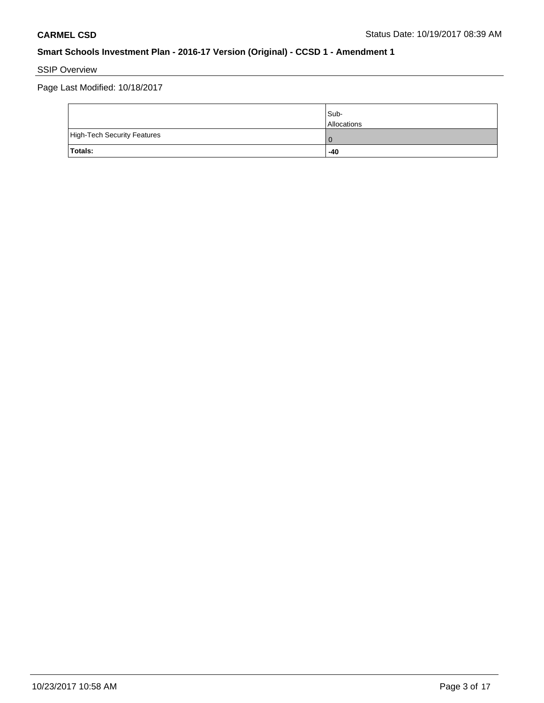SSIP Overview

Page Last Modified: 10/18/2017

|                                    | Sub-<br><b>Allocations</b> |
|------------------------------------|----------------------------|
| <b>High-Tech Security Features</b> | 0                          |
| <b>Totals:</b>                     | $-40$                      |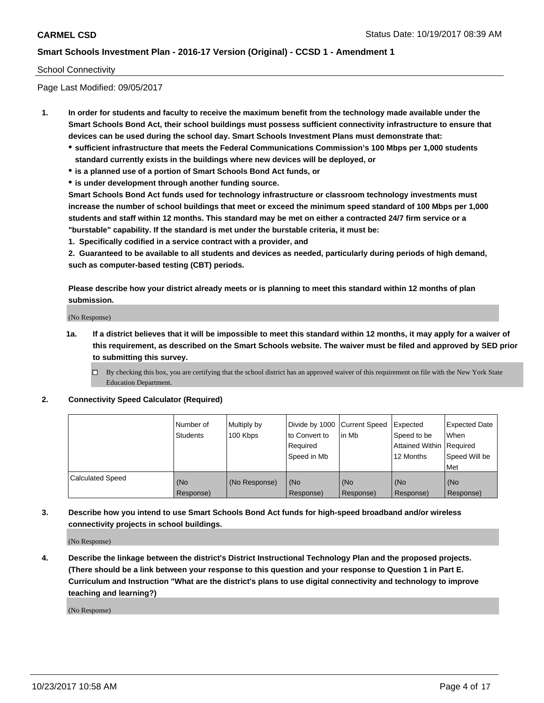#### School Connectivity

Page Last Modified: 09/05/2017

- **1. In order for students and faculty to receive the maximum benefit from the technology made available under the Smart Schools Bond Act, their school buildings must possess sufficient connectivity infrastructure to ensure that devices can be used during the school day. Smart Schools Investment Plans must demonstrate that:**
	- **sufficient infrastructure that meets the Federal Communications Commission's 100 Mbps per 1,000 students standard currently exists in the buildings where new devices will be deployed, or**
	- **is a planned use of a portion of Smart Schools Bond Act funds, or**
	- **is under development through another funding source.**

**Smart Schools Bond Act funds used for technology infrastructure or classroom technology investments must increase the number of school buildings that meet or exceed the minimum speed standard of 100 Mbps per 1,000 students and staff within 12 months. This standard may be met on either a contracted 24/7 firm service or a "burstable" capability. If the standard is met under the burstable criteria, it must be:**

**1. Specifically codified in a service contract with a provider, and**

**2. Guaranteed to be available to all students and devices as needed, particularly during periods of high demand, such as computer-based testing (CBT) periods.**

**Please describe how your district already meets or is planning to meet this standard within 12 months of plan submission.**

(No Response)

**1a. If a district believes that it will be impossible to meet this standard within 12 months, it may apply for a waiver of this requirement, as described on the Smart Schools website. The waiver must be filed and approved by SED prior to submitting this survey.**

**2. Connectivity Speed Calculator (Required)**

|                         | l Number of<br>Students | Multiply by<br>100 Kbps | Divide by 1000 Current Speed<br>to Convert to<br>Required<br>Speed in Mb | lin Mb           | Expected<br>Speed to be<br>Attained Within Required<br>12 Months | <b>Expected Date</b><br>When<br>Speed Will be<br>Met |
|-------------------------|-------------------------|-------------------------|--------------------------------------------------------------------------|------------------|------------------------------------------------------------------|------------------------------------------------------|
| <b>Calculated Speed</b> | (No<br>Response)        | (No Response)           | (No<br>Response)                                                         | (No<br>Response) | (No<br>Response)                                                 | (No<br>Response)                                     |

**3. Describe how you intend to use Smart Schools Bond Act funds for high-speed broadband and/or wireless connectivity projects in school buildings.**

(No Response)

**4. Describe the linkage between the district's District Instructional Technology Plan and the proposed projects. (There should be a link between your response to this question and your response to Question 1 in Part E. Curriculum and Instruction "What are the district's plans to use digital connectivity and technology to improve teaching and learning?)**

(No Response)

 $\Box$  By checking this box, you are certifying that the school district has an approved waiver of this requirement on file with the New York State Education Department.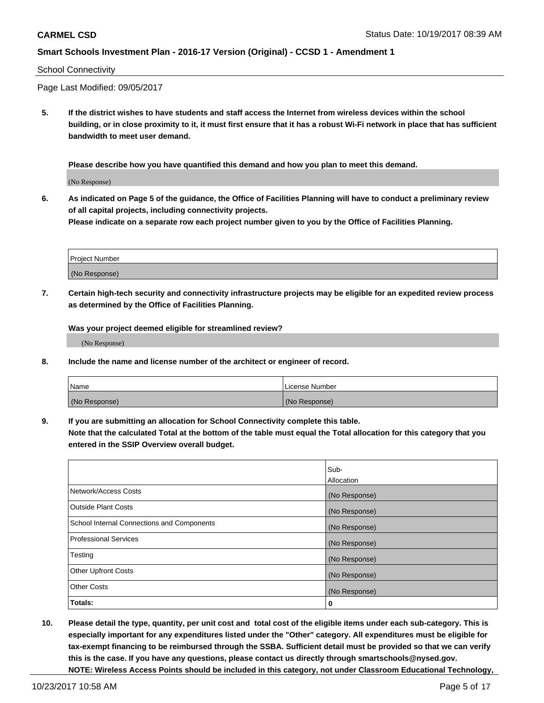#### School Connectivity

Page Last Modified: 09/05/2017

**5. If the district wishes to have students and staff access the Internet from wireless devices within the school building, or in close proximity to it, it must first ensure that it has a robust Wi-Fi network in place that has sufficient bandwidth to meet user demand.**

**Please describe how you have quantified this demand and how you plan to meet this demand.**

(No Response)

**6. As indicated on Page 5 of the guidance, the Office of Facilities Planning will have to conduct a preliminary review of all capital projects, including connectivity projects.**

**Please indicate on a separate row each project number given to you by the Office of Facilities Planning.**

| Project Number |  |
|----------------|--|
|                |  |
|                |  |
|                |  |
|                |  |
| (No Response)  |  |
|                |  |
|                |  |

**7. Certain high-tech security and connectivity infrastructure projects may be eligible for an expedited review process as determined by the Office of Facilities Planning.**

**Was your project deemed eligible for streamlined review?**

(No Response)

**8. Include the name and license number of the architect or engineer of record.**

| Name          | License Number |
|---------------|----------------|
| (No Response) | (No Response)  |

**9. If you are submitting an allocation for School Connectivity complete this table.**

**Note that the calculated Total at the bottom of the table must equal the Total allocation for this category that you entered in the SSIP Overview overall budget.** 

|                                            | Sub-          |
|--------------------------------------------|---------------|
|                                            | Allocation    |
| Network/Access Costs                       | (No Response) |
| <b>Outside Plant Costs</b>                 | (No Response) |
| School Internal Connections and Components | (No Response) |
| <b>Professional Services</b>               | (No Response) |
| Testing                                    | (No Response) |
| <b>Other Upfront Costs</b>                 | (No Response) |
| <b>Other Costs</b>                         | (No Response) |
| Totals:                                    | 0             |

**10. Please detail the type, quantity, per unit cost and total cost of the eligible items under each sub-category. This is especially important for any expenditures listed under the "Other" category. All expenditures must be eligible for tax-exempt financing to be reimbursed through the SSBA. Sufficient detail must be provided so that we can verify this is the case. If you have any questions, please contact us directly through smartschools@nysed.gov. NOTE: Wireless Access Points should be included in this category, not under Classroom Educational Technology,**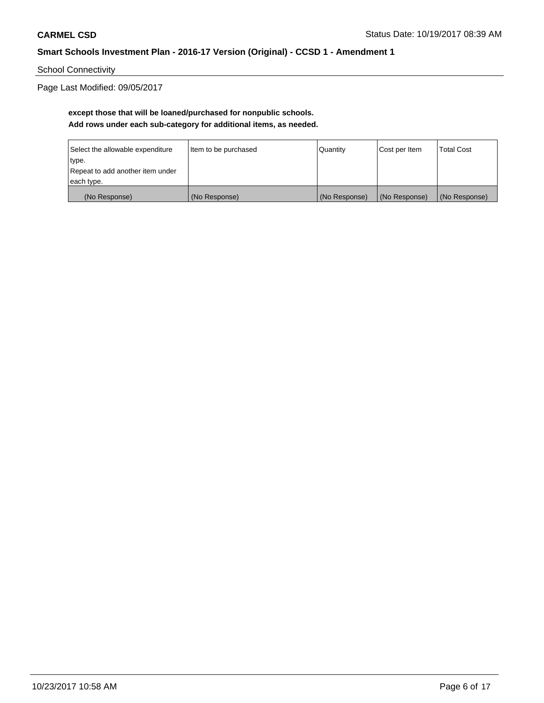School Connectivity

Page Last Modified: 09/05/2017

## **except those that will be loaned/purchased for nonpublic schools. Add rows under each sub-category for additional items, as needed.**

| Select the allowable expenditure | Item to be purchased | Quantity      | Cost per Item | <b>Total Cost</b> |
|----------------------------------|----------------------|---------------|---------------|-------------------|
| type.                            |                      |               |               |                   |
| Repeat to add another item under |                      |               |               |                   |
| each type.                       |                      |               |               |                   |
| (No Response)                    | (No Response)        | (No Response) | (No Response) | (No Response)     |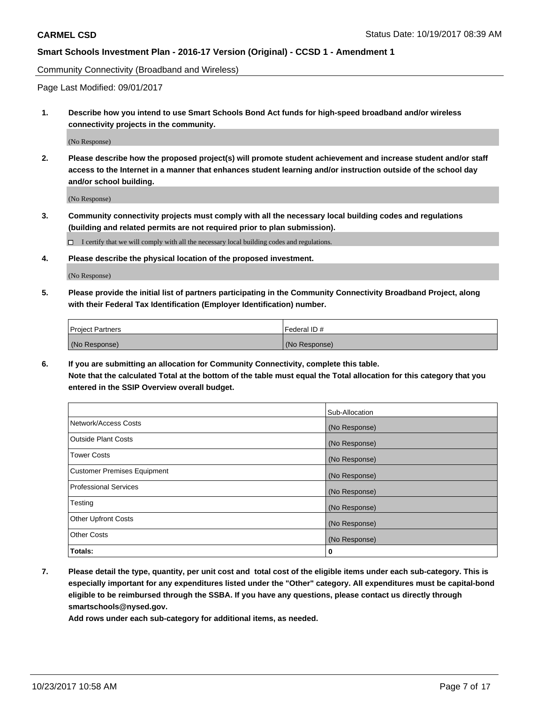Community Connectivity (Broadband and Wireless)

Page Last Modified: 09/01/2017

**1. Describe how you intend to use Smart Schools Bond Act funds for high-speed broadband and/or wireless connectivity projects in the community.**

(No Response)

**2. Please describe how the proposed project(s) will promote student achievement and increase student and/or staff access to the Internet in a manner that enhances student learning and/or instruction outside of the school day and/or school building.**

(No Response)

**3. Community connectivity projects must comply with all the necessary local building codes and regulations (building and related permits are not required prior to plan submission).**

 $\Box$  I certify that we will comply with all the necessary local building codes and regulations.

**4. Please describe the physical location of the proposed investment.**

(No Response)

**5. Please provide the initial list of partners participating in the Community Connectivity Broadband Project, along with their Federal Tax Identification (Employer Identification) number.**

| <b>Project Partners</b> | l Federal ID # |
|-------------------------|----------------|
| (No Response)           | (No Response)  |

**6. If you are submitting an allocation for Community Connectivity, complete this table. Note that the calculated Total at the bottom of the table must equal the Total allocation for this category that you entered in the SSIP Overview overall budget.**

|                                    | Sub-Allocation |
|------------------------------------|----------------|
| Network/Access Costs               | (No Response)  |
| <b>Outside Plant Costs</b>         | (No Response)  |
| <b>Tower Costs</b>                 | (No Response)  |
| <b>Customer Premises Equipment</b> | (No Response)  |
| <b>Professional Services</b>       | (No Response)  |
| Testing                            | (No Response)  |
| <b>Other Upfront Costs</b>         | (No Response)  |
| <b>Other Costs</b>                 | (No Response)  |
| Totals:                            | 0              |

**7. Please detail the type, quantity, per unit cost and total cost of the eligible items under each sub-category. This is especially important for any expenditures listed under the "Other" category. All expenditures must be capital-bond eligible to be reimbursed through the SSBA. If you have any questions, please contact us directly through smartschools@nysed.gov.**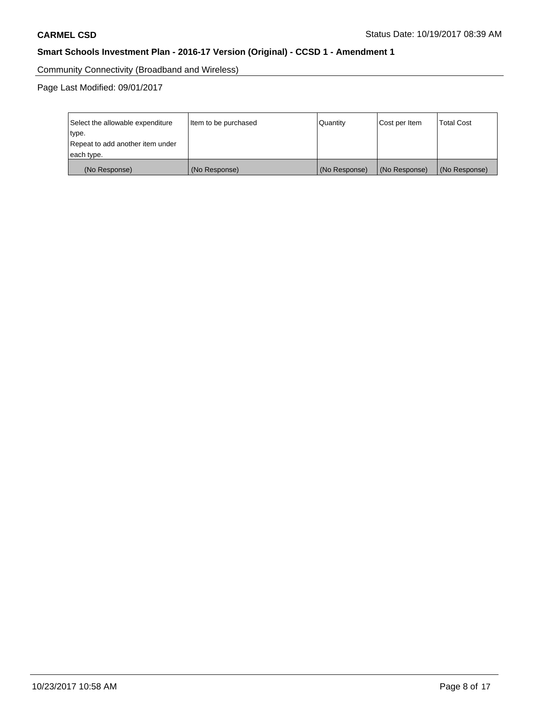Community Connectivity (Broadband and Wireless)

Page Last Modified: 09/01/2017

| Select the allowable expenditure<br>type.<br>Repeat to add another item under | Item to be purchased | Quantity      | Cost per Item | <b>Total Cost</b> |
|-------------------------------------------------------------------------------|----------------------|---------------|---------------|-------------------|
| each type.                                                                    |                      |               |               |                   |
| (No Response)                                                                 | (No Response)        | (No Response) | (No Response) | (No Response)     |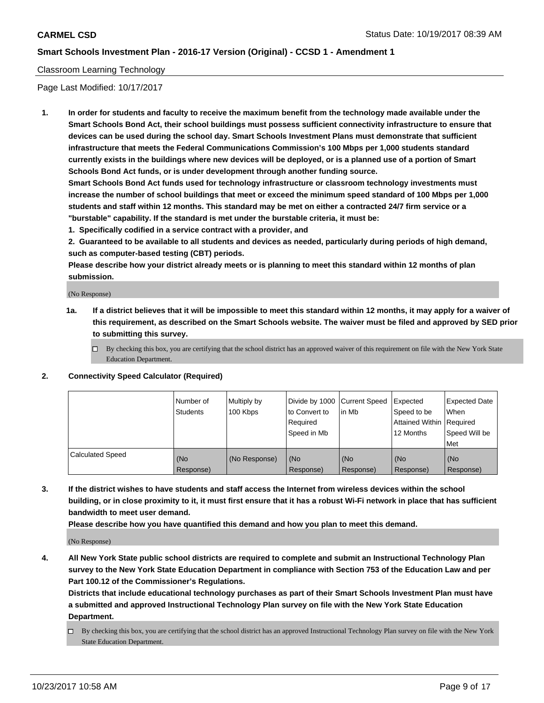#### Classroom Learning Technology

Page Last Modified: 10/17/2017

**1. In order for students and faculty to receive the maximum benefit from the technology made available under the Smart Schools Bond Act, their school buildings must possess sufficient connectivity infrastructure to ensure that devices can be used during the school day. Smart Schools Investment Plans must demonstrate that sufficient infrastructure that meets the Federal Communications Commission's 100 Mbps per 1,000 students standard currently exists in the buildings where new devices will be deployed, or is a planned use of a portion of Smart Schools Bond Act funds, or is under development through another funding source.**

**Smart Schools Bond Act funds used for technology infrastructure or classroom technology investments must increase the number of school buildings that meet or exceed the minimum speed standard of 100 Mbps per 1,000 students and staff within 12 months. This standard may be met on either a contracted 24/7 firm service or a "burstable" capability. If the standard is met under the burstable criteria, it must be:**

**1. Specifically codified in a service contract with a provider, and**

**2. Guaranteed to be available to all students and devices as needed, particularly during periods of high demand, such as computer-based testing (CBT) periods.**

**Please describe how your district already meets or is planning to meet this standard within 12 months of plan submission.**

(No Response)

- **1a. If a district believes that it will be impossible to meet this standard within 12 months, it may apply for a waiver of this requirement, as described on the Smart Schools website. The waiver must be filed and approved by SED prior to submitting this survey.**
	- $\Box$  By checking this box, you are certifying that the school district has an approved waiver of this requirement on file with the New York State Education Department.
- **2. Connectivity Speed Calculator (Required)**

|                         | Number of<br>Students | Multiply by<br>100 Kbps | Divide by 1000 Current Speed<br>to Convert to<br>Required<br>Speed in Mb | l in Mb          | Expected<br>Speed to be<br>Attained Within   Required<br>12 Months | <b>Expected Date</b><br>When<br>Speed Will be<br><b>Met</b> |
|-------------------------|-----------------------|-------------------------|--------------------------------------------------------------------------|------------------|--------------------------------------------------------------------|-------------------------------------------------------------|
| <b>Calculated Speed</b> | (No<br>Response)      | (No Response)           | (No<br>Response)                                                         | (No<br>Response) | (No<br>Response)                                                   | (No<br>Response)                                            |

**3. If the district wishes to have students and staff access the Internet from wireless devices within the school building, or in close proximity to it, it must first ensure that it has a robust Wi-Fi network in place that has sufficient bandwidth to meet user demand.**

**Please describe how you have quantified this demand and how you plan to meet this demand.**

(No Response)

**4. All New York State public school districts are required to complete and submit an Instructional Technology Plan survey to the New York State Education Department in compliance with Section 753 of the Education Law and per Part 100.12 of the Commissioner's Regulations.**

**Districts that include educational technology purchases as part of their Smart Schools Investment Plan must have a submitted and approved Instructional Technology Plan survey on file with the New York State Education Department.**

By checking this box, you are certifying that the school district has an approved Instructional Technology Plan survey on file with the New York State Education Department.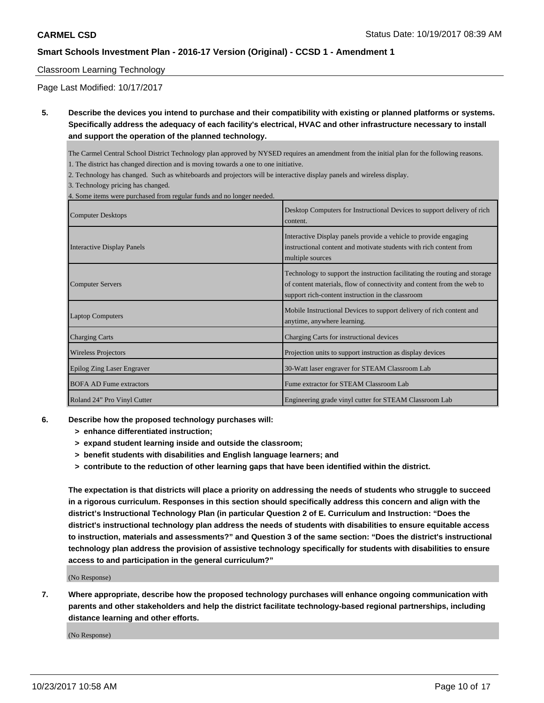#### Classroom Learning Technology

Page Last Modified: 10/17/2017

**5. Describe the devices you intend to purchase and their compatibility with existing or planned platforms or systems. Specifically address the adequacy of each facility's electrical, HVAC and other infrastructure necessary to install and support the operation of the planned technology.**

The Carmel Central School District Technology plan approved by NYSED requires an amendment from the initial plan for the following reasons.

- 1. The district has changed direction and is moving towards a one to one initiative.
- 2. Technology has changed. Such as whiteboards and projectors will be interactive display panels and wireless display.

3. Technology pricing has changed.

4. Some items were purchased from regular funds and no longer needed.

| <b>Computer Desktops</b>          | Desktop Computers for Instructional Devices to support delivery of rich<br>content.                                                                                                                       |
|-----------------------------------|-----------------------------------------------------------------------------------------------------------------------------------------------------------------------------------------------------------|
| Interactive Display Panels        | Interactive Display panels provide a vehicle to provide engaging<br>instructional content and motivate students with rich content from<br>multiple sources                                                |
| <b>Computer Servers</b>           | Technology to support the instruction facilitating the routing and storage<br>of content materials, flow of connectivity and content from the web to<br>support rich-content instruction in the classroom |
| <b>Laptop Computers</b>           | Mobile Instructional Devices to support delivery of rich content and<br>anytime, anywhere learning.                                                                                                       |
| <b>Charging Carts</b>             | Charging Carts for instructional devices                                                                                                                                                                  |
| <b>Wireless Projectors</b>        | Projection units to support instruction as display devices                                                                                                                                                |
| <b>Epilog Zing Laser Engraver</b> | 30-Watt laser engraver for STEAM Classroom Lab                                                                                                                                                            |
| <b>BOFA AD Fume extractors</b>    | Fume extractor for STEAM Classroom Lab                                                                                                                                                                    |
| Roland 24" Pro Vinyl Cutter       | Engineering grade vinyl cutter for STEAM Classroom Lab                                                                                                                                                    |

- **6. Describe how the proposed technology purchases will:**
	- **> enhance differentiated instruction;**
	- **> expand student learning inside and outside the classroom;**
	- **> benefit students with disabilities and English language learners; and**
	- **> contribute to the reduction of other learning gaps that have been identified within the district.**

**The expectation is that districts will place a priority on addressing the needs of students who struggle to succeed in a rigorous curriculum. Responses in this section should specifically address this concern and align with the district's Instructional Technology Plan (in particular Question 2 of E. Curriculum and Instruction: "Does the district's instructional technology plan address the needs of students with disabilities to ensure equitable access to instruction, materials and assessments?" and Question 3 of the same section: "Does the district's instructional technology plan address the provision of assistive technology specifically for students with disabilities to ensure access to and participation in the general curriculum?"**

(No Response)

**7. Where appropriate, describe how the proposed technology purchases will enhance ongoing communication with parents and other stakeholders and help the district facilitate technology-based regional partnerships, including distance learning and other efforts.**

(No Response)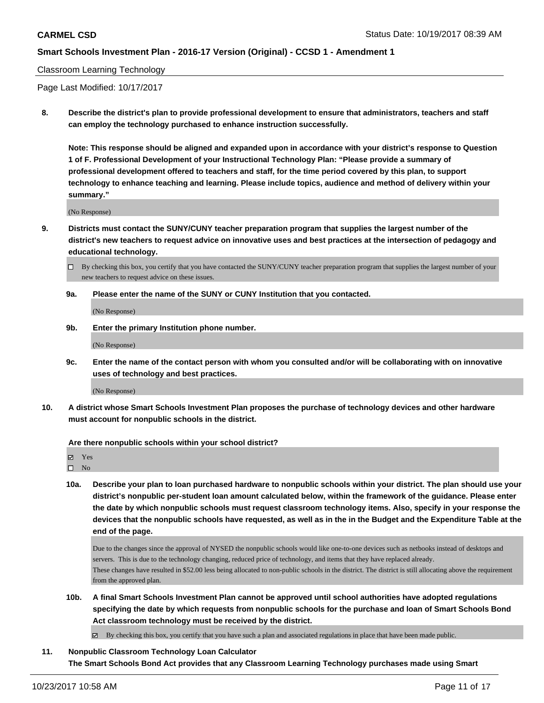#### Classroom Learning Technology

Page Last Modified: 10/17/2017

**8. Describe the district's plan to provide professional development to ensure that administrators, teachers and staff can employ the technology purchased to enhance instruction successfully.**

**Note: This response should be aligned and expanded upon in accordance with your district's response to Question 1 of F. Professional Development of your Instructional Technology Plan: "Please provide a summary of professional development offered to teachers and staff, for the time period covered by this plan, to support technology to enhance teaching and learning. Please include topics, audience and method of delivery within your summary."**

(No Response)

**9. Districts must contact the SUNY/CUNY teacher preparation program that supplies the largest number of the district's new teachers to request advice on innovative uses and best practices at the intersection of pedagogy and educational technology.**

**9a. Please enter the name of the SUNY or CUNY Institution that you contacted.**

(No Response)

**9b. Enter the primary Institution phone number.**

(No Response)

**9c. Enter the name of the contact person with whom you consulted and/or will be collaborating with on innovative uses of technology and best practices.**

(No Response)

**10. A district whose Smart Schools Investment Plan proposes the purchase of technology devices and other hardware must account for nonpublic schools in the district.**

**Are there nonpublic schools within your school district?**

Yes

 $\square$  No

**10a. Describe your plan to loan purchased hardware to nonpublic schools within your district. The plan should use your district's nonpublic per-student loan amount calculated below, within the framework of the guidance. Please enter the date by which nonpublic schools must request classroom technology items. Also, specify in your response the devices that the nonpublic schools have requested, as well as in the in the Budget and the Expenditure Table at the end of the page.**

Due to the changes since the approval of NYSED the nonpublic schools would like one-to-one devices such as netbooks instead of desktops and servers. This is due to the technology changing, reduced price of technology, and items that they have replaced already. These changes have resulted in \$52.00 less being allocated to non-public schools in the district. The district is still allocating above the requirement from the approved plan.

**10b. A final Smart Schools Investment Plan cannot be approved until school authorities have adopted regulations specifying the date by which requests from nonpublic schools for the purchase and loan of Smart Schools Bond Act classroom technology must be received by the district.**

 $\boxtimes$  By checking this box, you certify that you have such a plan and associated regulations in place that have been made public.

**11. Nonpublic Classroom Technology Loan Calculator The Smart Schools Bond Act provides that any Classroom Learning Technology purchases made using Smart**

 $\Box$  By checking this box, you certify that you have contacted the SUNY/CUNY teacher preparation program that supplies the largest number of your new teachers to request advice on these issues.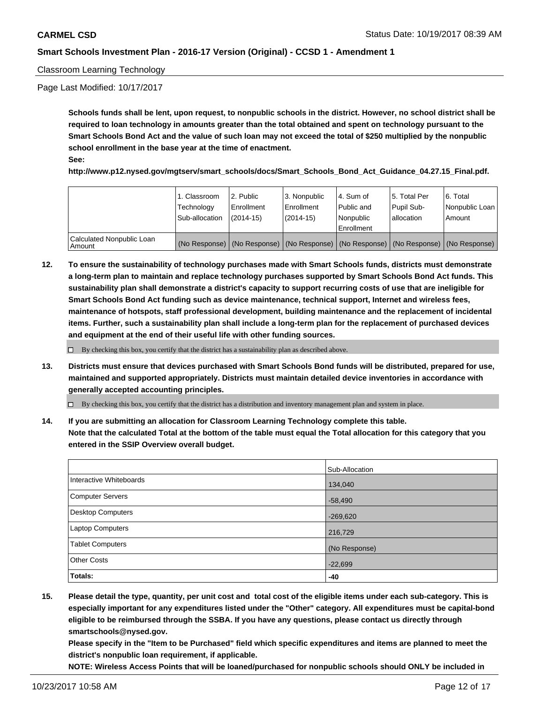#### Classroom Learning Technology

Page Last Modified: 10/17/2017

**Schools funds shall be lent, upon request, to nonpublic schools in the district. However, no school district shall be required to loan technology in amounts greater than the total obtained and spent on technology pursuant to the Smart Schools Bond Act and the value of such loan may not exceed the total of \$250 multiplied by the nonpublic school enrollment in the base year at the time of enactment. See:**

#### **http://www.p12.nysed.gov/mgtserv/smart\_schools/docs/Smart\_Schools\_Bond\_Act\_Guidance\_04.27.15\_Final.pdf.**

|                                     | 1. Classroom<br>Technology<br>Sub-allocation | l 2. Public<br>Enrollment<br>$(2014-15)$                                                      | 3. Nonpublic<br>l Enrollment<br>(2014-15) | l 4. Sum of<br>l Public and<br>l Nonpublic<br>l Enrollment | 15. Total Per<br>Pupil Sub-<br>lallocation | l 6. Total<br>Nonpublic Loan<br>Amount |
|-------------------------------------|----------------------------------------------|-----------------------------------------------------------------------------------------------|-------------------------------------------|------------------------------------------------------------|--------------------------------------------|----------------------------------------|
| Calculated Nonpublic Loan<br>Amount |                                              | (No Response)   (No Response)   (No Response)   (No Response)   (No Response)   (No Response) |                                           |                                                            |                                            |                                        |

**12. To ensure the sustainability of technology purchases made with Smart Schools funds, districts must demonstrate a long-term plan to maintain and replace technology purchases supported by Smart Schools Bond Act funds. This sustainability plan shall demonstrate a district's capacity to support recurring costs of use that are ineligible for Smart Schools Bond Act funding such as device maintenance, technical support, Internet and wireless fees, maintenance of hotspots, staff professional development, building maintenance and the replacement of incidental items. Further, such a sustainability plan shall include a long-term plan for the replacement of purchased devices and equipment at the end of their useful life with other funding sources.**

By checking this box, you certify that the district has a sustainability plan as described above.

**13. Districts must ensure that devices purchased with Smart Schools Bond funds will be distributed, prepared for use, maintained and supported appropriately. Districts must maintain detailed device inventories in accordance with generally accepted accounting principles.**

By checking this box, you certify that the district has a distribution and inventory management plan and system in place.

**14. If you are submitting an allocation for Classroom Learning Technology complete this table. Note that the calculated Total at the bottom of the table must equal the Total allocation for this category that you entered in the SSIP Overview overall budget.**

|                          | Sub-Allocation |
|--------------------------|----------------|
| Interactive Whiteboards  | 134,040        |
| <b>Computer Servers</b>  | $-58,490$      |
| <b>Desktop Computers</b> | $-269,620$     |
| Laptop Computers         | 216,729        |
| <b>Tablet Computers</b>  | (No Response)  |
| <b>Other Costs</b>       | $-22,699$      |
| Totals:                  | -40            |

**15. Please detail the type, quantity, per unit cost and total cost of the eligible items under each sub-category. This is especially important for any expenditures listed under the "Other" category. All expenditures must be capital-bond eligible to be reimbursed through the SSBA. If you have any questions, please contact us directly through smartschools@nysed.gov.**

**Please specify in the "Item to be Purchased" field which specific expenditures and items are planned to meet the district's nonpublic loan requirement, if applicable.**

**NOTE: Wireless Access Points that will be loaned/purchased for nonpublic schools should ONLY be included in**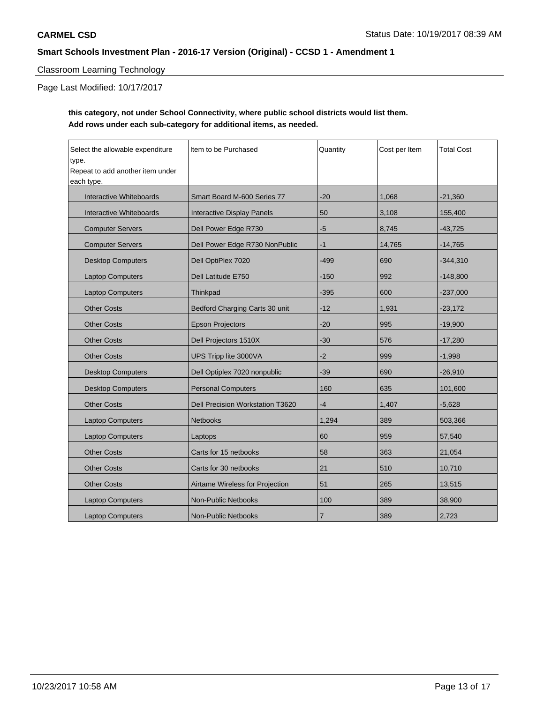## Classroom Learning Technology

Page Last Modified: 10/17/2017

## **this category, not under School Connectivity, where public school districts would list them. Add rows under each sub-category for additional items, as needed.**

| Select the allowable expenditure<br>type.<br>Repeat to add another item under<br>each type. | Item to be Purchased             | Quantity       | Cost per Item | <b>Total Cost</b> |
|---------------------------------------------------------------------------------------------|----------------------------------|----------------|---------------|-------------------|
| Interactive Whiteboards                                                                     | Smart Board M-600 Series 77      | $-20$          | 1,068         | $-21,360$         |
| Interactive Whiteboards                                                                     | Interactive Display Panels       | 50             | 3,108         | 155,400           |
| <b>Computer Servers</b>                                                                     | Dell Power Edge R730             | -5             | 8,745         | $-43,725$         |
| <b>Computer Servers</b>                                                                     | Dell Power Edge R730 NonPublic   | $-1$           | 14,765        | $-14,765$         |
| <b>Desktop Computers</b>                                                                    | Dell OptiPlex 7020               | $-499$         | 690           | $-344,310$        |
| <b>Laptop Computers</b>                                                                     | Dell Latitude E750               | $-150$         | 992           | $-148,800$        |
| <b>Laptop Computers</b>                                                                     | Thinkpad                         | $-395$         | 600           | $-237,000$        |
| <b>Other Costs</b>                                                                          | Bedford Charging Carts 30 unit   | $-12$          | 1,931         | $-23,172$         |
| <b>Other Costs</b>                                                                          | <b>Epson Projectors</b>          | $-20$          | 995           | $-19,900$         |
| <b>Other Costs</b>                                                                          | Dell Projectors 1510X            | $-30$          | 576           | $-17,280$         |
| <b>Other Costs</b>                                                                          | UPS Tripp lite 3000VA            | $-2$           | 999           | $-1,998$          |
| <b>Desktop Computers</b>                                                                    | Dell Optiplex 7020 nonpublic     | $-39$          | 690           | $-26,910$         |
| <b>Desktop Computers</b>                                                                    | <b>Personal Computers</b>        | 160            | 635           | 101,600           |
| <b>Other Costs</b>                                                                          | Dell Precision Workstation T3620 | $-4$           | 1,407         | $-5,628$          |
| <b>Laptop Computers</b>                                                                     | <b>Netbooks</b>                  | 1,294          | 389           | 503,366           |
| <b>Laptop Computers</b>                                                                     | Laptops                          | 60             | 959           | 57,540            |
| <b>Other Costs</b>                                                                          | Carts for 15 netbooks            | 58             | 363           | 21,054            |
| <b>Other Costs</b>                                                                          | Carts for 30 netbooks            | 21             | 510           | 10,710            |
| <b>Other Costs</b>                                                                          | Airtame Wireless for Projection  | 51             | 265           | 13,515            |
| <b>Laptop Computers</b>                                                                     | <b>Non-Public Netbooks</b>       | 100            | 389           | 38,900            |
| <b>Laptop Computers</b>                                                                     | Non-Public Netbooks              | $\overline{7}$ | 389           | 2,723             |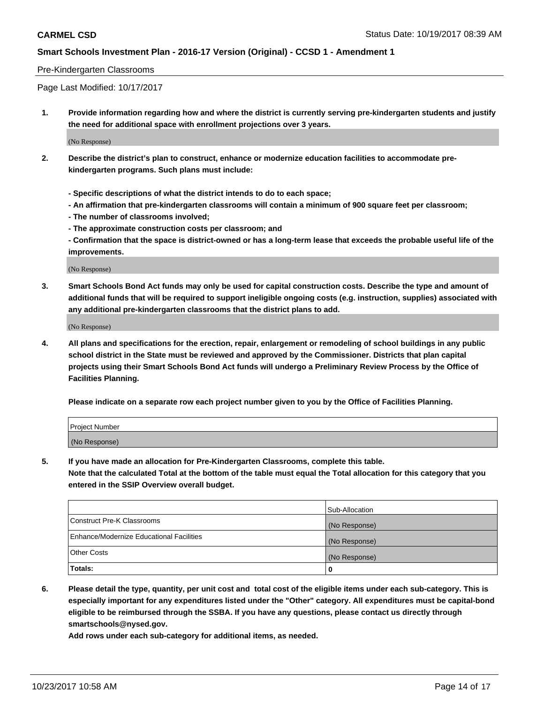#### Pre-Kindergarten Classrooms

Page Last Modified: 10/17/2017

**1. Provide information regarding how and where the district is currently serving pre-kindergarten students and justify the need for additional space with enrollment projections over 3 years.**

(No Response)

- **2. Describe the district's plan to construct, enhance or modernize education facilities to accommodate prekindergarten programs. Such plans must include:**
	- **Specific descriptions of what the district intends to do to each space;**
	- **An affirmation that pre-kindergarten classrooms will contain a minimum of 900 square feet per classroom;**
	- **The number of classrooms involved;**
	- **The approximate construction costs per classroom; and**

**- Confirmation that the space is district-owned or has a long-term lease that exceeds the probable useful life of the improvements.**

(No Response)

**3. Smart Schools Bond Act funds may only be used for capital construction costs. Describe the type and amount of additional funds that will be required to support ineligible ongoing costs (e.g. instruction, supplies) associated with any additional pre-kindergarten classrooms that the district plans to add.**

(No Response)

**4. All plans and specifications for the erection, repair, enlargement or remodeling of school buildings in any public school district in the State must be reviewed and approved by the Commissioner. Districts that plan capital projects using their Smart Schools Bond Act funds will undergo a Preliminary Review Process by the Office of Facilities Planning.**

**Please indicate on a separate row each project number given to you by the Office of Facilities Planning.**

| Project Number |  |
|----------------|--|
| (No Response)  |  |

**5. If you have made an allocation for Pre-Kindergarten Classrooms, complete this table.**

**Note that the calculated Total at the bottom of the table must equal the Total allocation for this category that you entered in the SSIP Overview overall budget.**

|                                          | Sub-Allocation |
|------------------------------------------|----------------|
| Construct Pre-K Classrooms               | (No Response)  |
| Enhance/Modernize Educational Facilities | (No Response)  |
| <b>Other Costs</b>                       | (No Response)  |
| <b>Totals:</b>                           | 0              |

**6. Please detail the type, quantity, per unit cost and total cost of the eligible items under each sub-category. This is especially important for any expenditures listed under the "Other" category. All expenditures must be capital-bond eligible to be reimbursed through the SSBA. If you have any questions, please contact us directly through smartschools@nysed.gov.**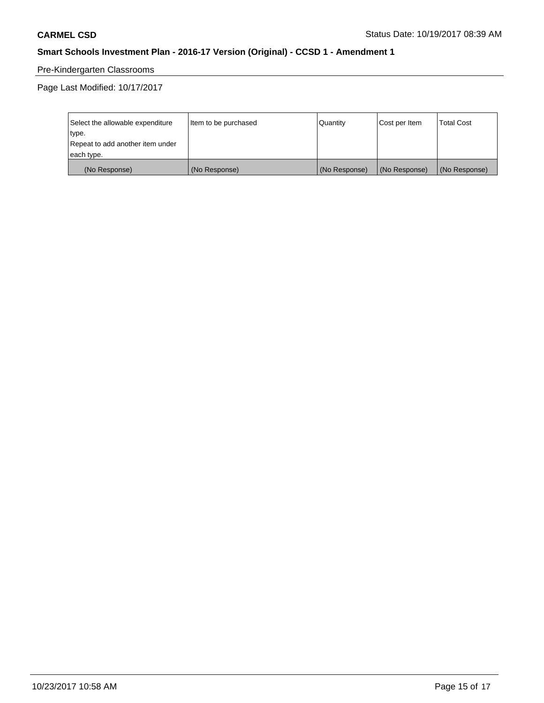# Pre-Kindergarten Classrooms

Page Last Modified: 10/17/2017

| Select the allowable expenditure | Item to be purchased | Quantity      | Cost per Item | <b>Total Cost</b> |
|----------------------------------|----------------------|---------------|---------------|-------------------|
| type.                            |                      |               |               |                   |
| Repeat to add another item under |                      |               |               |                   |
| each type.                       |                      |               |               |                   |
| (No Response)                    | (No Response)        | (No Response) | (No Response) | (No Response)     |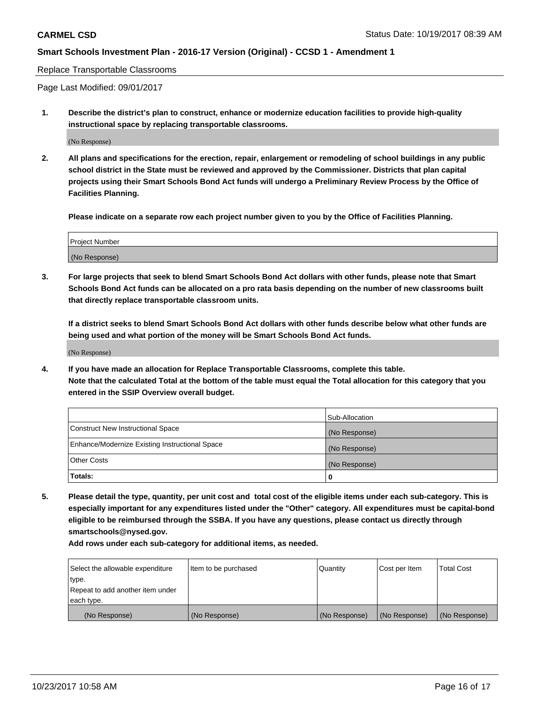#### Replace Transportable Classrooms

Page Last Modified: 09/01/2017

**1. Describe the district's plan to construct, enhance or modernize education facilities to provide high-quality instructional space by replacing transportable classrooms.**

(No Response)

**2. All plans and specifications for the erection, repair, enlargement or remodeling of school buildings in any public school district in the State must be reviewed and approved by the Commissioner. Districts that plan capital projects using their Smart Schools Bond Act funds will undergo a Preliminary Review Process by the Office of Facilities Planning.**

**Please indicate on a separate row each project number given to you by the Office of Facilities Planning.**

| <b>Project Number</b> |  |
|-----------------------|--|
| (No Response)         |  |

**3. For large projects that seek to blend Smart Schools Bond Act dollars with other funds, please note that Smart Schools Bond Act funds can be allocated on a pro rata basis depending on the number of new classrooms built that directly replace transportable classroom units.**

**If a district seeks to blend Smart Schools Bond Act dollars with other funds describe below what other funds are being used and what portion of the money will be Smart Schools Bond Act funds.**

(No Response)

**4. If you have made an allocation for Replace Transportable Classrooms, complete this table. Note that the calculated Total at the bottom of the table must equal the Total allocation for this category that you entered in the SSIP Overview overall budget.**

|                                                | Sub-Allocation |
|------------------------------------------------|----------------|
| Construct New Instructional Space              | (No Response)  |
| Enhance/Modernize Existing Instructional Space | (No Response)  |
| <b>Other Costs</b>                             | (No Response)  |
| Totals:                                        | 0              |

**5. Please detail the type, quantity, per unit cost and total cost of the eligible items under each sub-category. This is especially important for any expenditures listed under the "Other" category. All expenditures must be capital-bond eligible to be reimbursed through the SSBA. If you have any questions, please contact us directly through smartschools@nysed.gov.**

| Select the allowable expenditure | Item to be purchased | Quantity      | Cost per Item | <b>Total Cost</b> |
|----------------------------------|----------------------|---------------|---------------|-------------------|
| type.                            |                      |               |               |                   |
| Repeat to add another item under |                      |               |               |                   |
| each type.                       |                      |               |               |                   |
| (No Response)                    | (No Response)        | (No Response) | (No Response) | (No Response)     |